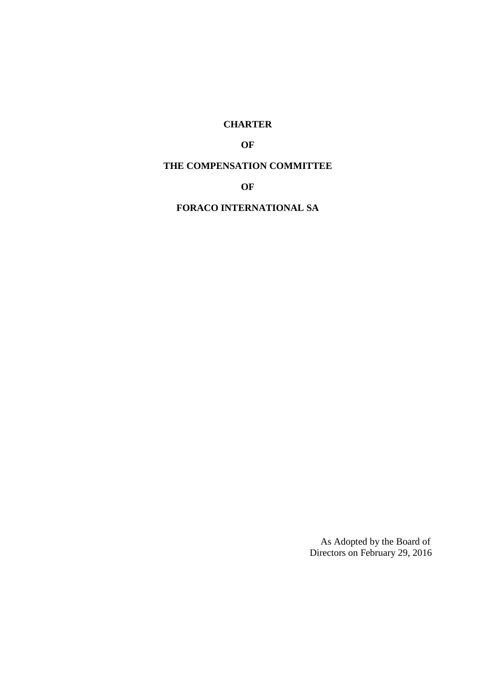# **CHARTER**

## **OF**

## **THE COMPENSATION COMMITTEE**

**OF** 

## **FORACO INTERNATIONAL SA**

As Adopted by the Board of Directors on February 29, 2016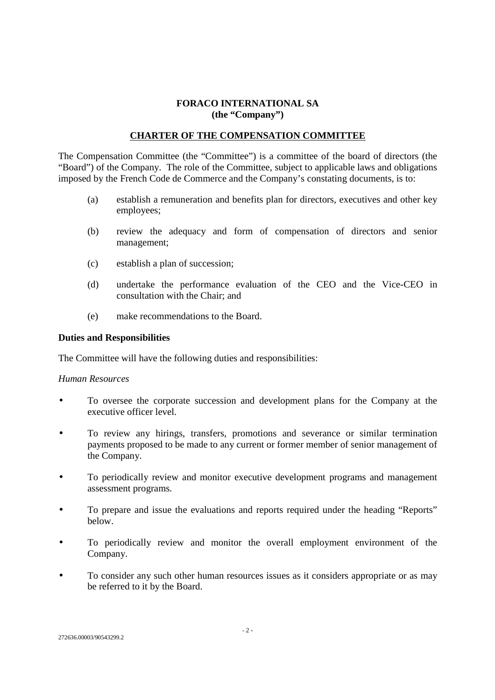## **FORACO INTERNATIONAL SA (the "Company")**

### **CHARTER OF THE COMPENSATION COMMITTEE**

The Compensation Committee (the "Committee") is a committee of the board of directors (the "Board") of the Company. The role of the Committee, subject to applicable laws and obligations imposed by the French Code de Commerce and the Company's constating documents, is to:

- (a) establish a remuneration and benefits plan for directors, executives and other key employees;
- (b) review the adequacy and form of compensation of directors and senior management;
- (c) establish a plan of succession;
- (d) undertake the performance evaluation of the CEO and the Vice-CEO in consultation with the Chair; and
- (e) make recommendations to the Board.

#### **Duties and Responsibilities**

The Committee will have the following duties and responsibilities:

#### *Human Resources*

- To oversee the corporate succession and development plans for the Company at the executive officer level.
- To review any hirings, transfers, promotions and severance or similar termination payments proposed to be made to any current or former member of senior management of the Company.
- To periodically review and monitor executive development programs and management assessment programs.
- To prepare and issue the evaluations and reports required under the heading "Reports" below.
- To periodically review and monitor the overall employment environment of the Company.
- To consider any such other human resources issues as it considers appropriate or as may be referred to it by the Board.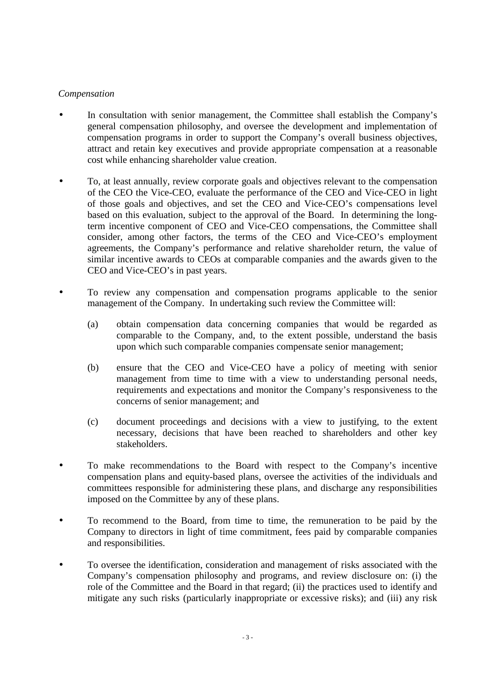### *Compensation*

- In consultation with senior management, the Committee shall establish the Company's general compensation philosophy, and oversee the development and implementation of compensation programs in order to support the Company's overall business objectives, attract and retain key executives and provide appropriate compensation at a reasonable cost while enhancing shareholder value creation.
- To, at least annually, review corporate goals and objectives relevant to the compensation of the CEO the Vice-CEO, evaluate the performance of the CEO and Vice-CEO in light of those goals and objectives, and set the CEO and Vice-CEO's compensations level based on this evaluation, subject to the approval of the Board. In determining the longterm incentive component of CEO and Vice-CEO compensations, the Committee shall consider, among other factors, the terms of the CEO and Vice-CEO's employment agreements, the Company's performance and relative shareholder return, the value of similar incentive awards to CEOs at comparable companies and the awards given to the CEO and Vice-CEO's in past years.
- To review any compensation and compensation programs applicable to the senior management of the Company. In undertaking such review the Committee will:
	- (a) obtain compensation data concerning companies that would be regarded as comparable to the Company, and, to the extent possible, understand the basis upon which such comparable companies compensate senior management;
	- (b) ensure that the CEO and Vice-CEO have a policy of meeting with senior management from time to time with a view to understanding personal needs, requirements and expectations and monitor the Company's responsiveness to the concerns of senior management; and
	- (c) document proceedings and decisions with a view to justifying, to the extent necessary, decisions that have been reached to shareholders and other key stakeholders.
- To make recommendations to the Board with respect to the Company's incentive compensation plans and equity-based plans, oversee the activities of the individuals and committees responsible for administering these plans, and discharge any responsibilities imposed on the Committee by any of these plans.
- To recommend to the Board, from time to time, the remuneration to be paid by the Company to directors in light of time commitment, fees paid by comparable companies and responsibilities.
- To oversee the identification, consideration and management of risks associated with the Company's compensation philosophy and programs, and review disclosure on: (i) the role of the Committee and the Board in that regard; (ii) the practices used to identify and mitigate any such risks (particularly inappropriate or excessive risks); and (iii) any risk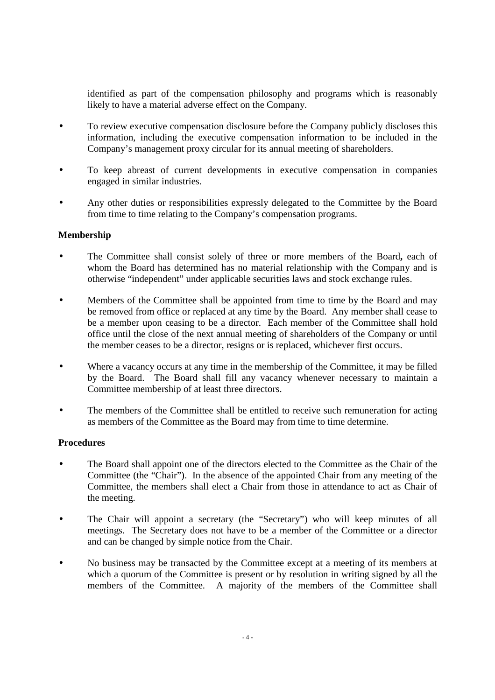identified as part of the compensation philosophy and programs which is reasonably likely to have a material adverse effect on the Company.

- To review executive compensation disclosure before the Company publicly discloses this information, including the executive compensation information to be included in the Company's management proxy circular for its annual meeting of shareholders.
- To keep abreast of current developments in executive compensation in companies engaged in similar industries.
- Any other duties or responsibilities expressly delegated to the Committee by the Board from time to time relating to the Company's compensation programs.

## **Membership**

- The Committee shall consist solely of three or more members of the Board**,** each of whom the Board has determined has no material relationship with the Company and is otherwise "independent" under applicable securities laws and stock exchange rules.
- Members of the Committee shall be appointed from time to time by the Board and may be removed from office or replaced at any time by the Board. Any member shall cease to be a member upon ceasing to be a director. Each member of the Committee shall hold office until the close of the next annual meeting of shareholders of the Company or until the member ceases to be a director, resigns or is replaced, whichever first occurs.
- Where a vacancy occurs at any time in the membership of the Committee, it may be filled by the Board. The Board shall fill any vacancy whenever necessary to maintain a Committee membership of at least three directors.
- The members of the Committee shall be entitled to receive such remuneration for acting as members of the Committee as the Board may from time to time determine.

## **Procedures**

- The Board shall appoint one of the directors elected to the Committee as the Chair of the Committee (the "Chair"). In the absence of the appointed Chair from any meeting of the Committee, the members shall elect a Chair from those in attendance to act as Chair of the meeting.
- The Chair will appoint a secretary (the "Secretary") who will keep minutes of all meetings. The Secretary does not have to be a member of the Committee or a director and can be changed by simple notice from the Chair.
- No business may be transacted by the Committee except at a meeting of its members at which a quorum of the Committee is present or by resolution in writing signed by all the members of the Committee. A majority of the members of the Committee shall